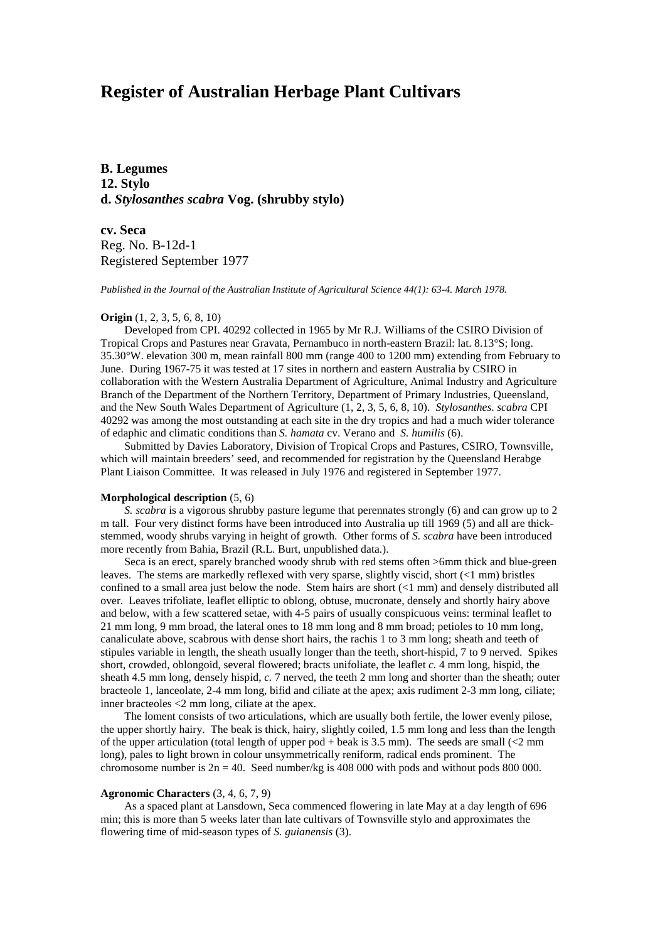# **Register of Australian Herbage Plant Cultivars**

**B. Legumes 12. Stylo d.** *Stylosanthes scabra* **Vog. (shrubby stylo)**

**cv. Seca** Reg. No. B-12d-1 Registered September 1977

*Published in the Journal of the Australian Institute of Agricultural Science 44(1): 63-4. March 1978.*

#### **Origin** (1, 2, 3, 5, 6, 8, 10)

Developed from CPI. 40292 collected in 1965 by Mr R.J. Williams of the CSIRO Division of Tropical Crops and Pastures near Gravata, Pernambuco in north-eastern Brazil: lat. 8.13°S; long. 35.30°W. elevation 300 m, mean rainfall 800 mm (range 400 to 1200 mm) extending from February to June. During 1967-75 it was tested at 17 sites in northern and eastern Australia by CSIRO in collaboration with the Western Australia Department of Agriculture, Animal Industry and Agriculture Branch of the Department of the Northern Territory, Department of Primary Industries, Queensland, and the New South Wales Department of Agriculture (1, 2, 3, 5, 6, 8, 10). *Stylosanthes*. *scabra* CPI 40292 was among the most outstanding at each site in the dry tropics and had a much wider tolerance of edaphic and climatic conditions than *S. hamata* cv. Verano and *S. humilis* (6).

Submitted by Davies Laboratory, Division of Tropical Crops and Pastures, CSIRO, Townsville, which will maintain breeders' seed, and recommended for registration by the Queensland Herabge Plant Liaison Committee. It was released in July 1976 and registered in September 1977.

## **Morphological description** (5, 6)

*S. scabra* is a vigorous shrubby pasture legume that perennates strongly (6) and can grow up to 2 m tall. Four very distinct forms have been introduced into Australia up till 1969 (5) and all are thickstemmed, woody shrubs varying in height of growth. Other forms of *S. scabra* have been introduced more recently from Bahia, Brazil (R.L. Burt, unpublished data.).

Seca is an erect, sparely branched woody shrub with red stems often >6mm thick and blue-green leaves. The stems are markedly reflexed with very sparse, slightly viscid, short (<1 mm) bristles confined to a small area just below the node. Stem hairs are short (<1 mm) and densely distributed all over. Leaves trifoliate, leaflet elliptic to oblong, obtuse, mucronate, densely and shortly hairy above and below, with a few scattered setae, with 4-5 pairs of usually conspicuous veins: terminal leaflet to 21 mm long, 9 mm broad, the lateral ones to 18 mm long and 8 mm broad; petioles to 10 mm long, canaliculate above, scabrous with dense short hairs, the rachis 1 to 3 mm long; sheath and teeth of stipules variable in length, the sheath usually longer than the teeth, short-hispid, 7 to 9 nerved. Spikes short, crowded, oblongoid, several flowered; bracts unifoliate, the leaflet *c.* 4 mm long, hispid, the sheath 4.5 mm long, densely hispid, *c.* 7 nerved, the teeth 2 mm long and shorter than the sheath; outer bracteole 1, lanceolate, 2-4 mm long, bifid and ciliate at the apex; axis rudiment 2-3 mm long, ciliate; inner bracteoles <2 mm long, ciliate at the apex.

The loment consists of two articulations, which are usually both fertile, the lower evenly pilose, the upper shortly hairy. The beak is thick, hairy, slightly coiled, 1.5 mm long and less than the length of the upper articulation (total length of upper pod + beak is 3.5 mm). The seeds are small  $\langle$  2 mm long), pales to light brown in colour unsymmetrically reniform, radical ends prominent. The chromosome number is  $2n = 40$ . Seed number/kg is 408 000 with pods and without pods 800 000.

## **Agronomic Characters** (3, 4, 6, 7, 9)

As a spaced plant at Lansdown, Seca commenced flowering in late May at a day length of 696 min; this is more than 5 weeks later than late cultivars of Townsville stylo and approximates the flowering time of mid-season types of *S. guianensis* (3).